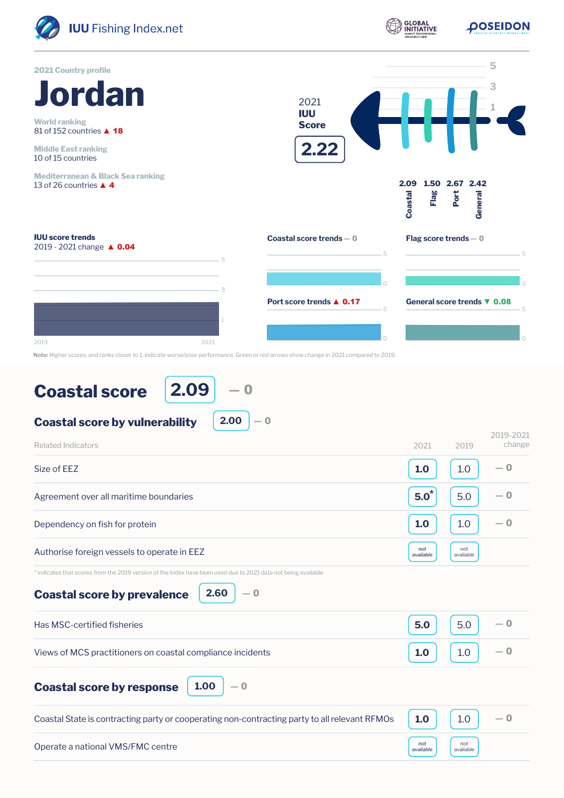

| <b>Coastal score</b> |
|----------------------|
|----------------------|

**2.09** ― 0

**2.00**  $|-0$ 

| <b>Related Indicators</b>                                                                                      | 2021             | 2019             | 2019-2021<br>change |
|----------------------------------------------------------------------------------------------------------------|------------------|------------------|---------------------|
| Size of EEZ                                                                                                    | 1.0              | 1.0              | — 0                 |
| Agreement over all maritime boundaries                                                                         | $5.0^*$          | 5.0              | — 0                 |
| Dependency on fish for protein                                                                                 | 1.0              | 1.0              | $-0$                |
| Authorise foreign vessels to operate in EEZ                                                                    | not<br>available | not<br>available |                     |
| * indicates that scores from the 2019 version of the Index have been used due to 2021 data not being available |                  |                  |                     |
| 2.60<br>$-0$<br><b>Coastal score by prevalence</b>                                                             |                  |                  |                     |
| Has MSC-certified fisheries                                                                                    | 5.0              | 5.0              | — 0                 |
| Views of MCS practitioners on coastal compliance incidents                                                     | 1.0              | 1.0              | $-0$                |
| 1.00<br>$-0$<br><b>Coastal score by response</b>                                                               |                  |                  |                     |
| Coastal State is contracting party or cooperating non-contracting party to all relevant RFMOs                  | 1.0              | 1.0              | $-0$                |
| Operate a national VMS/FMC centre                                                                              | not<br>available | not<br>available |                     |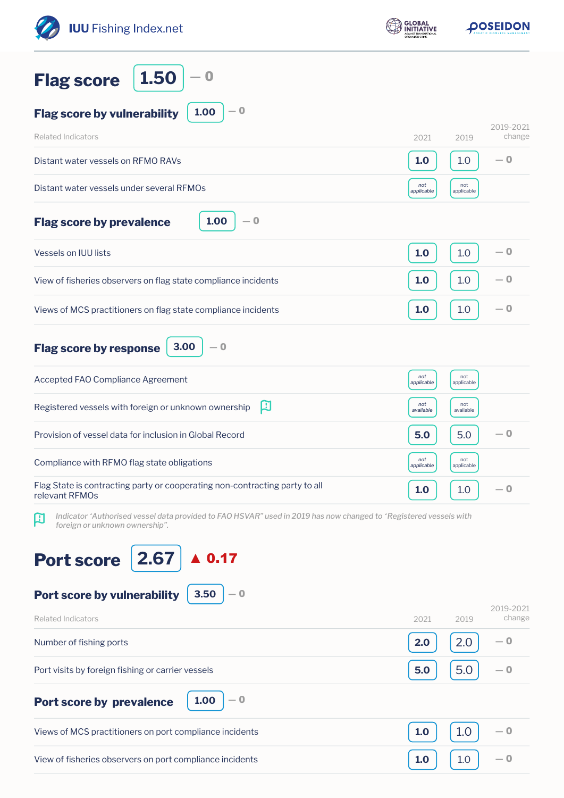| <b>IUU</b> Fishing Index.net                                                                                                                             | <b>GLOBAL</b><br>INITIATIVE |                   | <b>POSEIDON</b>     |
|----------------------------------------------------------------------------------------------------------------------------------------------------------|-----------------------------|-------------------|---------------------|
| 1.50<br>$\bf{O}$<br><b>Flag score</b>                                                                                                                    |                             |                   |                     |
| $-0$<br>1.00<br><b>Flag score by vulnerability</b>                                                                                                       |                             |                   |                     |
| <b>Related Indicators</b>                                                                                                                                | 2021                        | 2019              | 2019-2021<br>change |
| Distant water vessels on RFMO RAVs                                                                                                                       | 1.0                         | 1.0               | — 0                 |
| Distant water vessels under several RFMOs                                                                                                                | not<br>applicable           | not<br>applicable |                     |
| 1.00<br>— 0<br><b>Flag score by prevalence</b>                                                                                                           |                             |                   |                     |
| <b>Vessels on IUU lists</b>                                                                                                                              | 1.0                         | 1.0               | $-0$                |
| View of fisheries observers on flag state compliance incidents                                                                                           | 1.0                         | 1.0               | $-0$                |
| Views of MCS practitioners on flag state compliance incidents                                                                                            | 1.0                         | 1.0               | — 0                 |
| 3.00<br>$-0$<br><b>Flag score by response</b>                                                                                                            |                             |                   |                     |
| Accepted FAO Compliance Agreement                                                                                                                        | not<br>applicable           | not<br>applicable |                     |
| 口<br>Registered vessels with foreign or unknown ownership                                                                                                | not<br>available            | not<br>available  |                     |
| Provision of vessel data for inclusion in Global Record                                                                                                  | 5.0                         | 5.0               | $-0$                |
| Compliance with RFMO flag state obligations                                                                                                              | not<br>applicable           | not<br>applicable |                     |
| Flag State is contracting party or cooperating non-contracting party to all<br>relevant RFMOs                                                            | 1.0                         | 1.0               | $-0$                |
| Indicator 'Authorised vessel data provided to FAO HSVAR" used in 2019 has now changed to 'Registered vessels with<br>口<br>foreign or unknown ownership". |                             |                   |                     |
| 2.67<br>$\blacktriangle$ 0.17<br><b>Port score</b><br>3.50<br>Port score by vulnerability<br>$-0$                                                        |                             |                   |                     |
| <b>Related Indicators</b>                                                                                                                                | 2021                        | 2019              | 2019-2021<br>change |
| Number of fishing ports                                                                                                                                  | 2.0                         | 2.0               | — 0                 |
| Port visits by foreign fishing or carrier vessels                                                                                                        | 5.0                         | 5.0               | — 0                 |
| 1.00<br>$-0$<br><b>Port score by prevalence</b>                                                                                                          |                             |                   |                     |
| Views of MCS practitioners on port compliance incidents                                                                                                  | 1.0                         | 1.0               | — 0                 |
| View of fisheries observers on port compliance incidents                                                                                                 | 1.0                         | 1.0               | — 0                 |